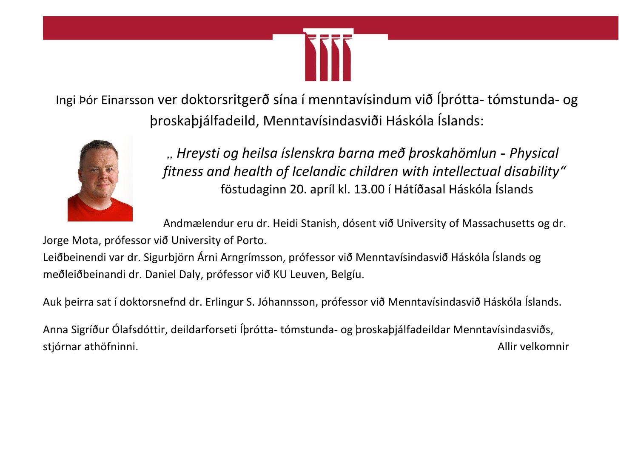

Ingi Þór Einarsson ver doktorsritgerð sína í menntavísindum við Íþrótta- tómstunda- og þroskaþjálfadeild, Menntavísindasviði Háskóla Íslands:



*"Hreysti og heilsa íslenskra barna með þroskahömlun* - *Physical fitness and health of Icelandic children with intellectual disability"* föstudaginn 20. apríl kl. 13.00 í Hátíðasal Háskóla Íslands

Andmælendur eru dr. Heidi Stanish, dósent við University of Massachusetts og dr.

Jorge Mota, prófessor við University of Porto.

Leiðbeinendi var dr. Sigurbjörn Árni Arngrímsson, prófessor við Menntavísindasvið Háskóla Íslands og meðleiðbeinandi dr. Daniel Daly, prófessor við KU Leuven, Belgíu.

Auk þeirra sat í doktorsnefnd dr. Erlingur S. Jóhannsson, prófessor við Menntavísindasvið Háskóla Íslands.

Anna Sigríður Ólafsdóttir, deildarforseti Íþrótta- tómstunda- og þroskaþjálfadeildar Menntavísindasviðs, stjórnar athöfninni. Karlis stjórnar athöfninni.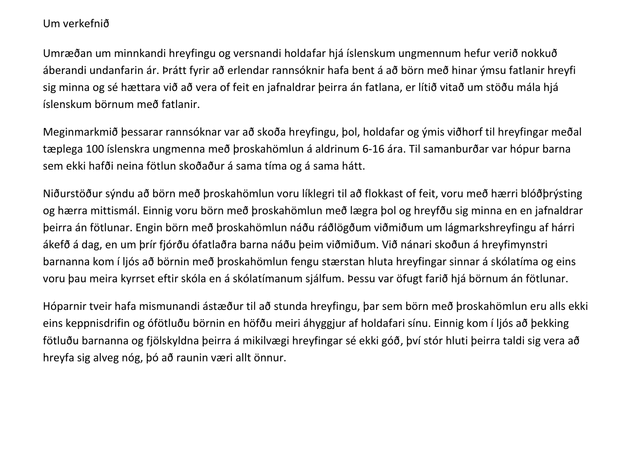## Um verkefnið

Umræðan um minnkandi hreyfingu og versnandi holdafar hjá íslenskum ungmennum hefur verið nokkuð áberandi undanfarin ár. Þrátt fyrir að erlendar rannsóknir hafa bent á að börn með hinar ýmsu fatlanir hreyfi sig minna og sé hættara við að vera of feit en jafnaldrar þeirra án fatlana, er lítið vitað um stöðu mála hjá íslenskum börnum með fatlanir.

Meginmarkmið þessarar rannsóknar var að skoða hreyfingu, þol, holdafar og ýmis viðhorf til hreyfingar meðal tæplega 100 íslenskra ungmenna með þroskahömlun á aldrinum 6-16 ára. Til samanburðar var hópur barna sem ekki hafði neina fötlun skoðaður á sama tíma og á sama hátt.

Niðurstöður sýndu að börn með þroskahömlun voru líklegri til að flokkast of feit, voru með hærri blóðþrýsting og hærra mittismál. Einnig voru börn með þroskahömlun með lægra þol og hreyfðu sig minna en en jafnaldrar þeirra án fötlunar. Engin börn með þroskahömlun náðu ráðlögðum viðmiðum um lágmarkshreyfingu af hárri ákefð á dag, en um þrír fjórðu ófatlaðra barna náðu þeim viðmiðum. Við nánari skoðun á hreyfimynstri barnanna kom í ljós að börnin með þroskahömlun fengu stærstan hluta hreyfingar sinnar á skólatíma og eins voru þau meira kyrrset eftir skóla en á skólatímanum sjálfum. Þessu var öfugt farið hjá börnum án fötlunar.

Hóparnir tveir hafa mismunandi ástæður til að stunda hreyfingu, þar sem börn með þroskahömlun eru alls ekki eins keppnisdrifin og ófötluðu börnin en höfðu meiri áhyggjur af holdafari sínu. Einnig kom í ljós að þekking fötluðu barnanna og fjölskyldna þeirra á mikilvægi hreyfingar sé ekki góð, því stór hluti þeirra taldi sig vera að hreyfa sig alveg nóg, þó að raunin væri allt önnur.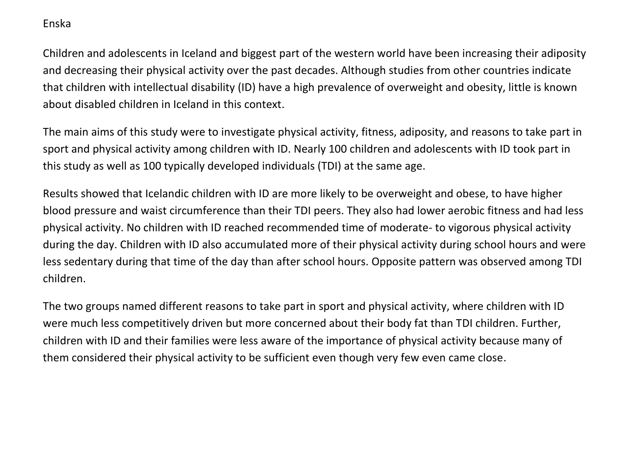## Enska

Children and adolescents in Iceland and biggest part of the western world have been increasing their adiposity and decreasing their physical activity over the past decades. Although studies from other countries indicate that children with intellectual disability (ID) have a high prevalence of overweight and obesity, little is known about disabled children in Iceland in this context.

The main aims of this study were to investigate physical activity, fitness, adiposity, and reasons to take part in sport and physical activity among children with ID. Nearly 100 children and adolescents with ID took part in this study as well as 100 typically developed individuals (TDI) at the same age.

Results showed that Icelandic children with ID are more likely to be overweight and obese, to have higher blood pressure and waist circumference than their TDI peers. They also had lower aerobic fitness and had less physical activity. No children with ID reached recommended time of moderate- to vigorous physical activity during the day. Children with ID also accumulated more of their physical activity during school hours and were less sedentary during that time of the day than after school hours. Opposite pattern was observed among TDI children.

The two groups named different reasons to take part in sport and physical activity, where children with ID were much less competitively driven but more concerned about their body fat than TDI children. Further, children with ID and their families were less aware of the importance of physical activity because many of them considered their physical activity to be sufficient even though very few even came close.